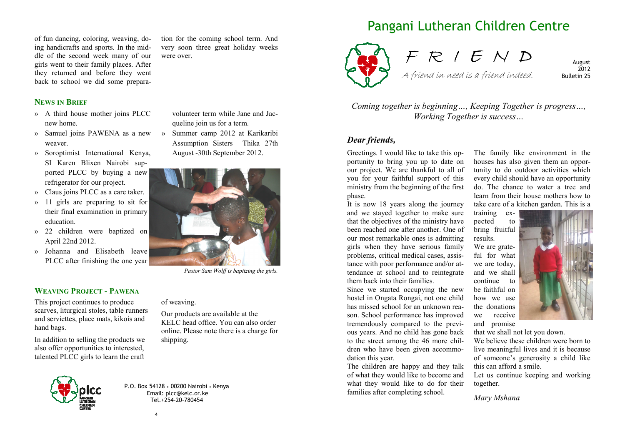of fun dancing, coloring, weaving, doing handicrafts and sports. In the middle of the second week many of our girls went to their family places. After they returned and before they went back to school we did some prepara-

# **NEWS IN BRIEF**

- » A third house mother joins PLCC new home.
- » Samuel joins PAWENA as a new weaver.
- » Soroptimist International Kenya, SI Karen Blixen Nairobi supported PLCC by buying a new refrigerator for our project.
- » Claus joins PLCC as a care taker.
- » 11 girls are preparing to sit for their final examination in primary education.
- » 22 children were baptized on April 22nd 2012.
- » Johanna and Elisabeth leave PLCC after finishing the one year

#### **WEAVING PROJECT - PAWENA**

 This project continues to produce scarves, liturgical stoles, table runners and serviettes, place mats, kikois and hand bags.

In addition to selling the products we also offer opportunities to interested, talented PLCC girls to learn the craft

> P.O. Box 54128 • 00200 Nairobi • Kenya Email: plcc@kelc.or.ke Tel.+254-20-780454

volunteer term while Jane and Jacqueline join us for a term.

tion for the coming school term. And very soon three great holiday weeks were over.

» Summer camp 2012 at Karikaribi Assumption Sisters Thika 27th August -30th September 2012.



A friend in need is a friend indeed.

Pangani Lutheran Children Centre

August 2012 Bulletin 25

*Coming together is beginning…, Keeping Together is progress…, Working Together is success…* 

#### *Dear friends,*

Greetings. I would like to take this opportunity to bring you up to date on our project. We are thankful to all of you for your faithful support of this ministry from the beginning of the first phase.

 It is now 18 years along the journey and we stayed together to make sure that the objectives of the ministry have been reached one after another. One of our most remarkable ones is admitting girls when they have serious family problems, critical medical cases, assistance with poor performance and/or attendance at school and to reintegrate them back into their families.

 Since we started occupying the new hostel in Ongata Rongai, not one child has missed school for an unknown reason. School performance has improved tremendously compared to the previous years. And no child has gone back to the street among the 46 more children who have been given accommodation this year.

 The children are happy and they talk of what they would like to become and what they would like to do for their families after completing school.

The family like environment in the houses has also given them an opportunity to do outdoor activities which every child should have an opportunity do. The chance to water a tree and learn from their house mothers how to take care of a kitchen garden. This is a

training expected to bring fruitful results. We are grate-

ful for what we are today, and we shall continue to be faithful on how we use the donations we receive and promise



that we shall not let you down.

We believe these children were born to live meaningful lives and it is because of someone's generosity a child like this can afford a smile.

 Let us continue keeping and working together.

*Mary Mshana* 



 online. Please note there is a charge for shipping.



*Pastor Sam Wolff is baptizing the girls.*